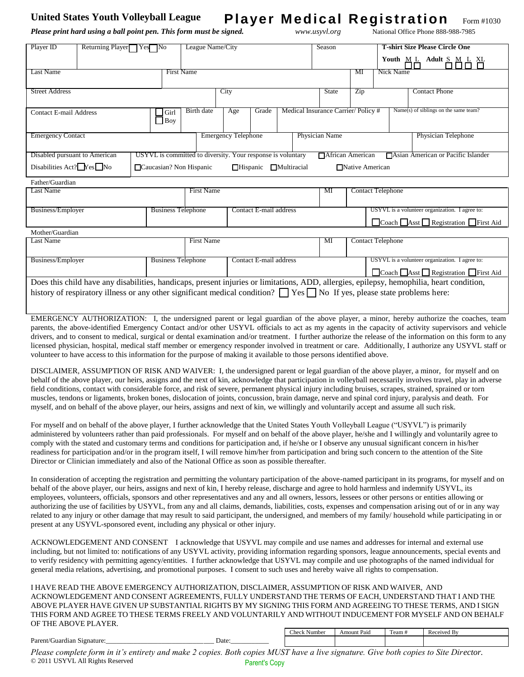## United States Youth Volleyball League **Player Medical Registration** Form #1030

*Please print hard using a ball point pen. This form must be signed. www.usyvl.org* National Office Phone 888-988-7985

| Player ID                     | Returning Player Yes No |                    |                                                             | League Name/City           |       |                                    | Season             |                   | <b>T-shirt Size Please Circle One</b>       |  |  |
|-------------------------------|-------------------------|--------------------|-------------------------------------------------------------|----------------------------|-------|------------------------------------|--------------------|-------------------|---------------------------------------------|--|--|
|                               |                         |                    |                                                             |                            |       |                                    |                    |                   | $M L$ Adult $S$ $M L$ $X$<br>Youth          |  |  |
| Last Name                     |                         |                    | <b>First Name</b>                                           |                            |       |                                    |                    | MI                | Nick Name                                   |  |  |
| <b>Street Address</b>         |                         |                    |                                                             | City                       |       |                                    | <b>State</b>       | Zip               | <b>Contact Phone</b>                        |  |  |
| Contact E-mail Address        |                         | Girl<br>$\Box$ Boy | Birth date                                                  | Age                        | Grade | Medical Insurance Carrier/Policy#  |                    |                   | Name(s) of siblings on the same team?       |  |  |
| <b>Emergency Contact</b>      |                         |                    |                                                             | <b>Emergency Telephone</b> |       |                                    | Physician Name     |                   | Physician Telephone                         |  |  |
| Disabled pursuant to American |                         |                    | USYVL is committed to diversity. Your response is voluntary |                            |       |                                    | □ African American |                   | <b>T</b> Asian American or Pacific Islander |  |  |
| Disabilities $Act?$ $Yes$ No  |                         |                    | □ Caucasian? Non Hispanic                                   |                            |       | $\Box$ Hispanic $\Box$ Multiracial |                    | □ Native American |                                             |  |  |
| Father/Guardian               |                         |                    |                                                             |                            |       |                                    |                    |                   |                                             |  |  |

| Last Name         |                           | First Name        |                        | МI | <b>Contact Telephone</b>                       |
|-------------------|---------------------------|-------------------|------------------------|----|------------------------------------------------|
|                   |                           |                   |                        |    |                                                |
| Business/Employer | <b>Business Telephone</b> |                   | Contact E-mail address |    | USYVL is a volunteer organization. I agree to: |
|                   |                           |                   |                        |    | □Coach □Asst □ Registration □ First Aid        |
| Mother/Guardian   |                           |                   |                        |    |                                                |
| Last Name         |                           | <b>First Name</b> |                        | MI | <b>Contact Telephone</b>                       |
|                   |                           |                   |                        |    |                                                |
| Business/Employer | <b>Business Telephone</b> |                   | Contact E-mail address |    | USYVL is a volunteer organization. I agree to: |

□Coach ■Asst ■ Registration ■ First Aid Does this child have any disabilities, handicaps, present injuries or limitations, ADD, allergies, epilepsy, hemophilia, heart condition, history of respiratory illness or any other significant medical condition?  $\Box$  Yes  $\Box$  No If yes, please state problems here:

EMERGENCY AUTHORIZATION: I, the undersigned parent or legal guardian of the above player, a minor, hereby authorize the coaches, team parents, the above-identified Emergency Contact and/or other USYVL officials to act as my agents in the capacity of activity supervisors and vehicle drivers, and to consent to medical, surgical or dental examination and/or treatment. I further authorize the release of the information on this form to any licensed physician, hospital, medical staff member or emergency responder involved in treatment or care. Additionally, I authorize any USYVL staff or volunteer to have access to this information for the purpose of making it available to those persons identified above.

DISCLAIMER, ASSUMPTION OF RISK AND WAIVER: I, the undersigned parent or legal guardian of the above player, a minor, for myself and on behalf of the above player, our heirs, assigns and the next of kin, acknowledge that participation in volleyball necessarily involves travel, play in adverse field conditions, contact with considerable force, and risk of severe, permanent physical injury including bruises, scrapes, strained, sprained or torn muscles, tendons or ligaments, broken bones, dislocation of joints, concussion, brain damage, nerve and spinal cord injury, paralysis and death. For myself, and on behalf of the above player, our heirs, assigns and next of kin, we willingly and voluntarily accept and assume all such risk.

For myself and on behalf of the above player, I further acknowledge that the United States Youth Volleyball League ("USYVL") is primarily administered by volunteers rather than paid professionals. For myself and on behalf of the above player, he/she and I willingly and voluntarily agree to comply with the stated and customary terms and conditions for participation and, if he/she or I observe any unusual significant concern in his/her readiness for participation and/or in the program itself, I will remove him/her from participation and bring such concern to the attention of the Site Director or Clinician immediately and also of the National Office as soon as possible thereafter.

In consideration of accepting the registration and permitting the voluntary participation of the above-named participant in its programs, for myself and on behalf of the above player, our heirs, assigns and next of kin, I hereby release, discharge and agree to hold harmless and indemnify USYVL, its employees, volunteers, officials, sponsors and other representatives and any and all owners, lessors, lessees or other persons or entities allowing or authorizing the use of facilities by USYVL, from any and all claims, demands, liabilities, costs, expenses and compensation arising out of or in any way related to any injury or other damage that may result to said participant, the undersigned, and members of my family/ household while participating in or present at any USYVL-sponsored event, including any physical or other injury.

ACKNOWLEDGEMENT AND CONSENT I acknowledge that USYVL may compile and use names and addresses for internal and external use including, but not limited to: notifications of any USYVL activity, providing information regarding sponsors, league announcements, special events and to verify residency with permitting agency/entities. I further acknowledge that USYVL may compile and use photographs of the named individual for general media relations, advertising, and promotional purposes. I consent to such uses and hereby waive all rights to compensation.

I HAVE READ THE ABOVE EMERGENCY AUTHORIZATION, DISCLAIMER, ASSUMPTION OF RISK AND WAIVER, AND ACKNOWLEDGEMENT AND CONSENT AGREEMENTS, FULLY UNDERSTAND THE TERMS OF EACH, UNDERSTAND THAT I AND THE ABOVE PLAYER HAVE GIVEN UP SUBSTANTIAL RIGHTS BY MY SIGNING THIS FORM AND AGREEING TO THESE TERMS, AND I SIGN THIS FORM AND AGREE TO THESE TERMS FREELY AND VOLUNTARILY AND WITHOUT INDUCEMENT FOR MYSELF AND ON BEHALF OF THE ABOVE PLAYER.

|                                           | $\sim$<br>Numbe <sub>i</sub> | Amount Paid | $\sim$<br>$"eam +$ | Received By |
|-------------------------------------------|------------------------------|-------------|--------------------|-------------|
| Parent/G<br>Date:<br>/Guardian Signature: |                              |             |                    |             |

*Please complete form in it's entirety and make 2 copies. Both copies MUST have a live signature. Give both copies to Site Director.*  © 2011 USYVL All Rights Reserved Parent's Copy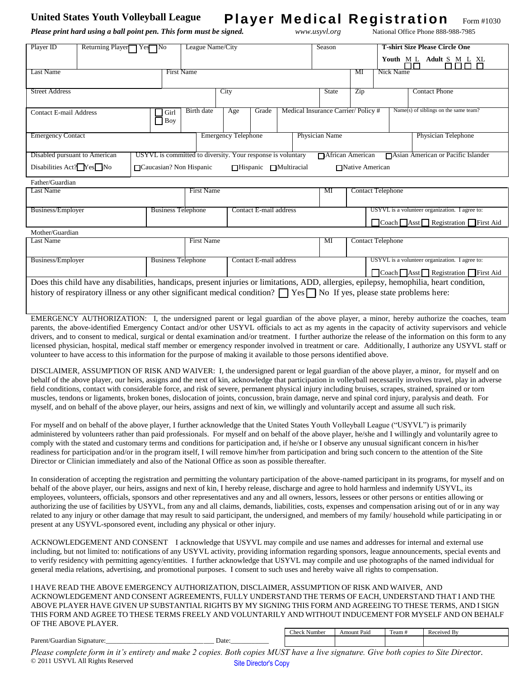## United States Youth Volleyball League **Player Medical Registration** Form #1030

*Please print hard using a ball point pen. This form must be signed. www.usyvl.org* National Office Phone 888-988-7985

| Player ID                                                                                                                   | Returning Player□ Yes□ No | League Name/City                                            |       | Season                            |     | <b>T-shirt Size Please Circle One</b>    |
|-----------------------------------------------------------------------------------------------------------------------------|---------------------------|-------------------------------------------------------------|-------|-----------------------------------|-----|------------------------------------------|
|                                                                                                                             |                           |                                                             |       |                                   |     | Youth M L Adult S M L XL<br>nnn n<br>┐┌┐ |
| Last Name                                                                                                                   |                           | <b>First Name</b>                                           |       |                                   | MI  | Nick Name                                |
|                                                                                                                             |                           |                                                             |       |                                   |     |                                          |
| <b>Street Address</b>                                                                                                       |                           | City                                                        |       | State                             | Zip | <b>Contact Phone</b>                     |
|                                                                                                                             |                           |                                                             |       |                                   |     |                                          |
| <b>Contact E-mail Address</b>                                                                                               | Girl<br>$\Box$ Boy        | <b>Birth</b> date<br>Age                                    | Grade | Medical Insurance Carrier/Policy# |     | Name(s) of siblings on the same team?    |
| <b>Emergency Contact</b>                                                                                                    |                           | <b>Emergency Telephone</b>                                  |       | Physician Name                    |     | Physician Telephone                      |
|                                                                                                                             |                           |                                                             |       |                                   |     |                                          |
| Disabled pursuant to American                                                                                               |                           | USYVL is committed to diversity. Your response is voluntary |       | <b>African American</b>           |     | □ Asian American or Pacific Islander     |
| Disabilities Act? $Yes$ No<br>$\Box$ Caucasian? Non Hispanic<br><b>□</b> Native American<br>$\Box$ Hispanic<br>□Multiracial |                           |                                                             |       |                                   |     |                                          |
| Father/Guardian                                                                                                             |                           |                                                             |       |                                   |     |                                          |

| Last Name         | First Name                |                        | МI | <b>Contact Telephone</b>                       |
|-------------------|---------------------------|------------------------|----|------------------------------------------------|
|                   |                           |                        |    |                                                |
| Business/Employer | <b>Business Telephone</b> | Contact E-mail address |    | USYVL is a volunteer organization. I agree to: |
|                   |                           |                        |    | Coach Asst Registration First Aid              |
| Mother/Guardian   |                           |                        |    |                                                |
| Last Name         | <b>First Name</b>         |                        | Мl | <b>Contact Telephone</b>                       |
|                   |                           |                        |    |                                                |
| Business/Employer | <b>Business Telephone</b> | Contact E-mail address |    | USYVL is a volunteer organization. I agree to: |
|                   |                           |                        |    | Coach Asst Registration First Aid              |

Does this child have any disabilities, handicaps, present injuries or limitations, ADD, allergies, epilepsy, hemophilia, heart condition, history of respiratory illness or any other significant medical condition?  $\Box$  Yes  $\Box$  No If yes, please state problems here:

EMERGENCY AUTHORIZATION: I, the undersigned parent or legal guardian of the above player, a minor, hereby authorize the coaches, team parents, the above-identified Emergency Contact and/or other USYVL officials to act as my agents in the capacity of activity supervisors and vehicle drivers, and to consent to medical, surgical or dental examination and/or treatment. I further authorize the release of the information on this form to any licensed physician, hospital, medical staff member or emergency responder involved in treatment or care. Additionally, I authorize any USYVL staff or volunteer to have access to this information for the purpose of making it available to those persons identified above.

DISCLAIMER, ASSUMPTION OF RISK AND WAIVER: I, the undersigned parent or legal guardian of the above player, a minor, for myself and on behalf of the above player, our heirs, assigns and the next of kin, acknowledge that participation in volleyball necessarily involves travel, play in adverse field conditions, contact with considerable force, and risk of severe, permanent physical injury including bruises, scrapes, strained, sprained or torn muscles, tendons or ligaments, broken bones, dislocation of joints, concussion, brain damage, nerve and spinal cord injury, paralysis and death. For myself, and on behalf of the above player, our heirs, assigns and next of kin, we willingly and voluntarily accept and assume all such risk.

For myself and on behalf of the above player, I further acknowledge that the United States Youth Volleyball League ("USYVL") is primarily administered by volunteers rather than paid professionals. For myself and on behalf of the above player, he/she and I willingly and voluntarily agree to comply with the stated and customary terms and conditions for participation and, if he/she or I observe any unusual significant concern in his/her readiness for participation and/or in the program itself, I will remove him/her from participation and bring such concern to the attention of the Site Director or Clinician immediately and also of the National Office as soon as possible thereafter.

In consideration of accepting the registration and permitting the voluntary participation of the above-named participant in its programs, for myself and on behalf of the above player, our heirs, assigns and next of kin, I hereby release, discharge and agree to hold harmless and indemnify USYVL, its employees, volunteers, officials, sponsors and other representatives and any and all owners, lessors, lessees or other persons or entities allowing or authorizing the use of facilities by USYVL, from any and all claims, demands, liabilities, costs, expenses and compensation arising out of or in any way related to any injury or other damage that may result to said participant, the undersigned, and members of my family/ household while participating in or present at any USYVL-sponsored event, including any physical or other injury.

ACKNOWLEDGEMENT AND CONSENT I acknowledge that USYVL may compile and use names and addresses for internal and external use including, but not limited to: notifications of any USYVL activity, providing information regarding sponsors, league announcements, special events and to verify residency with permitting agency/entities. I further acknowledge that USYVL may compile and use photographs of the named individual for general media relations, advertising, and promotional purposes. I consent to such uses and hereby waive all rights to compensation.

I HAVE READ THE ABOVE EMERGENCY AUTHORIZATION, DISCLAIMER, ASSUMPTION OF RISK AND WAIVER, AND ACKNOWLEDGEMENT AND CONSENT AGREEMENTS, FULLY UNDERSTAND THE TERMS OF EACH, UNDERSTAND THAT I AND THE ABOVE PLAYER HAVE GIVEN UP SUBSTANTIAL RIGHTS BY MY SIGNING THIS FORM AND AGREEING TO THESE TERMS, AND I SIGN THIS FORM AND AGREE TO THESE TERMS FREELY AND VOLUNTARILY AND WITHOUT INDUCEMENT FOR MYSELF AND ON BEHALF OF THE ABOVE PLAYER.

|                                           | $\sim$<br>Numbe <sub>i</sub> | Amount Paid | $\sim$<br>$"eam +$ | Received By |
|-------------------------------------------|------------------------------|-------------|--------------------|-------------|
| Parent/G<br>Date:<br>/Guardian Signature: |                              |             |                    |             |

*Please complete form in it's entirety and make 2 copies. Both copies MUST have a live signature. Give both copies to Site Director.*  © 2011 USYVL All Rights Reserved Site Director's Copy